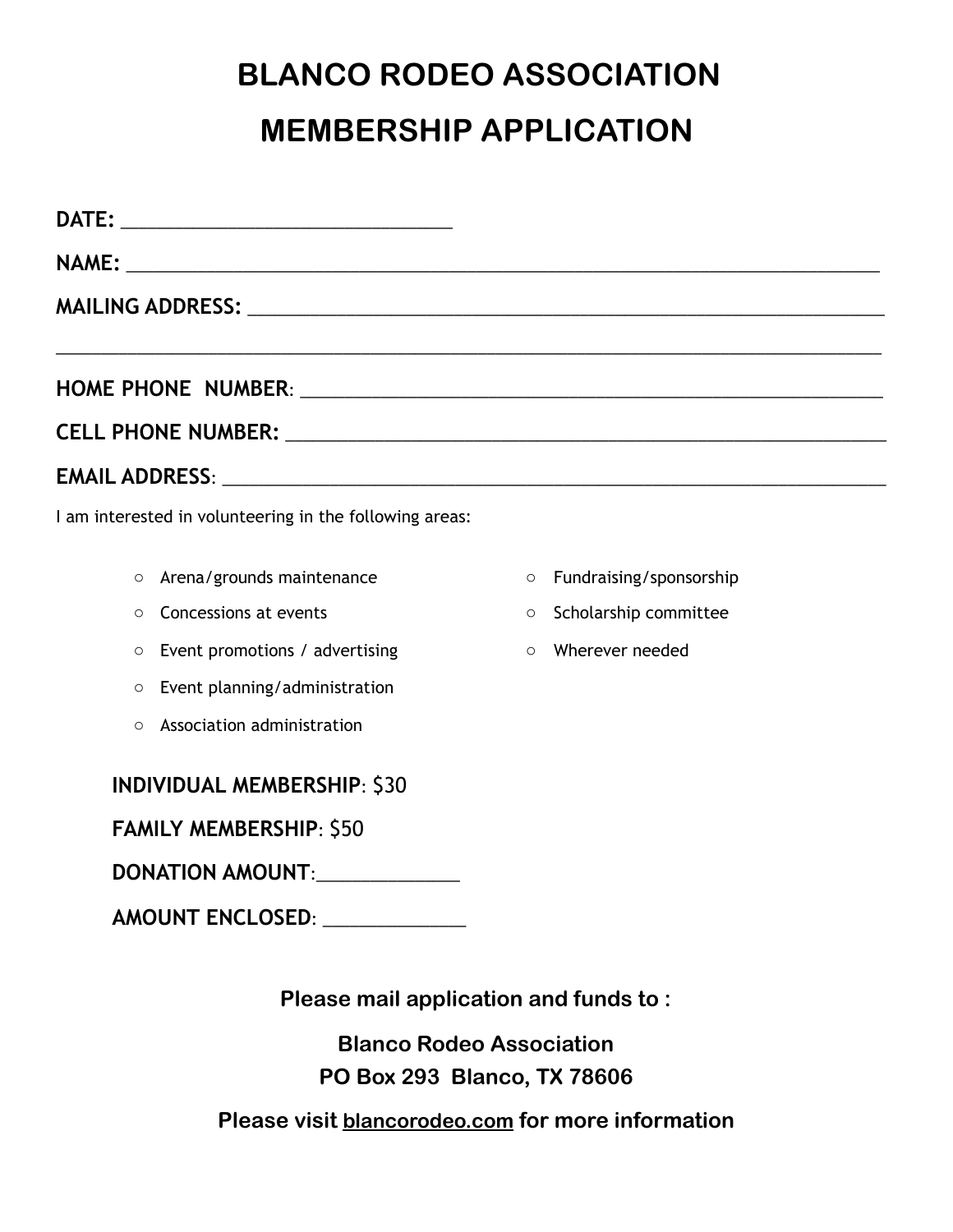## **BLANCO RODEO ASSOCIATION MEMBERSHIP APPLICATION**

| MAILING ADDRESS: NATIONAL PROPERTY OF THE CONTRACT OF THE CONTRACT OF THE CONTRACT OF THE CONTRACT OF THE CONTR |         |                         |
|-----------------------------------------------------------------------------------------------------------------|---------|-------------------------|
|                                                                                                                 |         |                         |
|                                                                                                                 |         |                         |
|                                                                                                                 |         |                         |
| I am interested in volunteering in the following areas:                                                         |         |                         |
| Arena/grounds maintenance<br>$\circ$                                                                            | $\circ$ | Fundraising/sponsorship |
| Concessions at events<br>$\circ$                                                                                | $\circ$ | Scholarship committee   |
| Event promotions / advertising<br>$\circ$                                                                       | $\circ$ | Wherever needed         |
| Event planning/administration<br>$\circ$                                                                        |         |                         |
| Association administration<br>$\circ$                                                                           |         |                         |
| <b>INDIVIDUAL MEMBERSHIP: \$30</b>                                                                              |         |                         |
| <b>FAMILY MEMBERSHIP: \$50</b>                                                                                  |         |                         |
| DONATION AMOUNT:                                                                                                |         |                         |
| AMOUNT ENCLOSED: _____________                                                                                  |         |                         |

**Please mail application and funds to :** 

**Blanco Rodeo Association PO Box 293 Blanco, TX 78606** 

**Please visit [blancorodeo.com](http://blancorodeo.com) for more information**